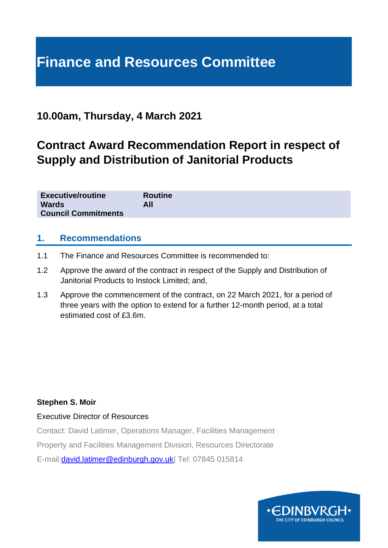# **Finance and Resources Committee**

# **10.00am, Thursday, 4 March 2021**

# **Contract Award Recommendation Report in respect of Supply and Distribution of Janitorial Products**

| <b>Executive/routine</b>   | <b>Routine</b> |
|----------------------------|----------------|
| <b>Wards</b>               | All            |
| <b>Council Commitments</b> |                |

#### **1. Recommendations**

- 1.1 The Finance and Resources Committee is recommended to:
- 1.2 Approve the award of the contract in respect of the Supply and Distribution of Janitorial Products to Instock Limited; and,
- 1.3 Approve the commencement of the contract, on 22 March 2021, for a period of three years with the option to extend for a further 12-month period, at a total estimated cost of £3.6m.

#### **Stephen S. Moir**

#### Executive Director of Resources

Contact: David Latimer, Operations Manager, Facilities Management

Property and Facilities Management Division, Resources Directorate

E-mail[:david.latimer@edinburgh.gov.uk|](mailto:david.latimer@edinburgh.gov.uk) Tel: 07845 015814

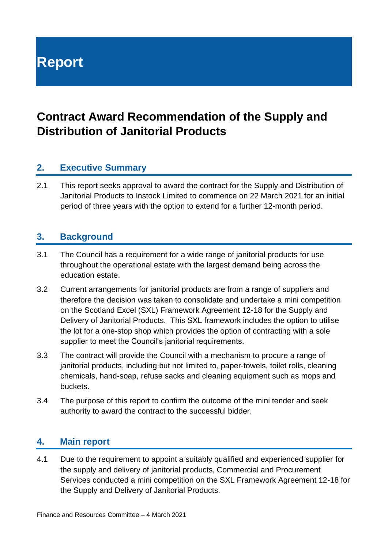# **Report**

# **Contract Award Recommendation of the Supply and Distribution of Janitorial Products**

# **2. Executive Summary**

2.1 This report seeks approval to award the contract for the Supply and Distribution of Janitorial Products to Instock Limited to commence on 22 March 2021 for an initial period of three years with the option to extend for a further 12-month period.

#### **3. Background**

- 3.1 The Council has a requirement for a wide range of janitorial products for use throughout the operational estate with the largest demand being across the education estate.
- 3.2 Current arrangements for janitorial products are from a range of suppliers and therefore the decision was taken to consolidate and undertake a mini competition on the Scotland Excel (SXL) Framework Agreement 12-18 for the Supply and Delivery of Janitorial Products. This SXL framework includes the option to utilise the lot for a one-stop shop which provides the option of contracting with a sole supplier to meet the Council's janitorial requirements.
- 3.3 The contract will provide the Council with a mechanism to procure a range of janitorial products, including but not limited to, paper-towels, toilet rolls, cleaning chemicals, hand-soap, refuse sacks and cleaning equipment such as mops and buckets.
- 3.4 The purpose of this report to confirm the outcome of the mini tender and seek authority to award the contract to the successful bidder.

#### **4. Main report**

4.1 Due to the requirement to appoint a suitably qualified and experienced supplier for the supply and delivery of janitorial products, Commercial and Procurement Services conducted a mini competition on the SXL Framework Agreement 12-18 for the Supply and Delivery of Janitorial Products.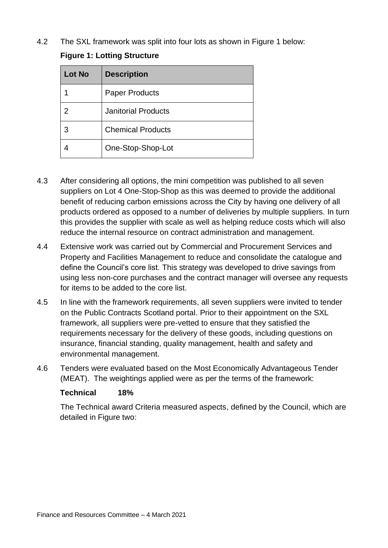4.2 The SXL framework was split into four lots as shown in Figure 1 below:

|  |  |  | <b>Figure 1: Lotting Structure</b> |
|--|--|--|------------------------------------|
|--|--|--|------------------------------------|

| <b>Lot No</b> | <b>Description</b>         |
|---------------|----------------------------|
|               | <b>Paper Products</b>      |
| 2             | <b>Janitorial Products</b> |
| 3             | <b>Chemical Products</b>   |
|               | One-Stop-Shop-Lot          |

- 4.3 After considering all options, the mini competition was published to all seven suppliers on Lot 4 One-Stop-Shop as this was deemed to provide the additional benefit of reducing carbon emissions across the City by having one delivery of all products ordered as opposed to a number of deliveries by multiple suppliers. In turn this provides the supplier with scale as well as helping reduce costs which will also reduce the internal resource on contract administration and management.
- 4.4 Extensive work was carried out by Commercial and Procurement Services and Property and Facilities Management to reduce and consolidate the catalogue and define the Council's core list. This strategy was developed to drive savings from using less non-core purchases and the contract manager will oversee any requests for items to be added to the core list.
- 4.5 In line with the framework requirements, all seven suppliers were invited to tender on the Public Contracts Scotland portal. Prior to their appointment on the SXL framework, all suppliers were pre-vetted to ensure that they satisfied the requirements necessary for the delivery of these goods, including questions on insurance, financial standing, quality management, health and safety and environmental management.
- 4.6 Tenders were evaluated based on the Most Economically Advantageous Tender (MEAT). The weightings applied were as per the terms of the framework:

#### **Technical 18%**

The Technical award Criteria measured aspects, defined by the Council, which are detailed in Figure two: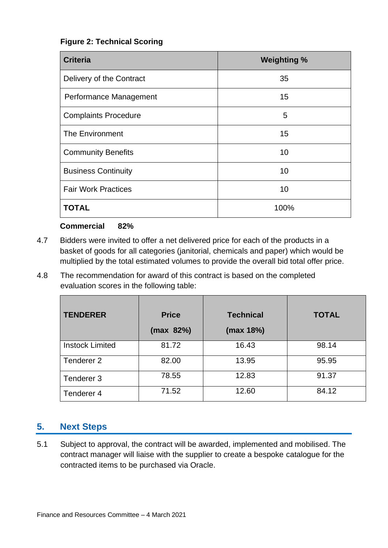#### **Figure 2: Technical Scoring**

| <b>Criteria</b>             | <b>Weighting %</b> |  |
|-----------------------------|--------------------|--|
| Delivery of the Contract    | 35                 |  |
| Performance Management      | 15                 |  |
| <b>Complaints Procedure</b> | 5                  |  |
| The Environment             | 15                 |  |
| <b>Community Benefits</b>   | 10                 |  |
| <b>Business Continuity</b>  | 10                 |  |
| <b>Fair Work Practices</b>  | 10                 |  |
| <b>TOTAL</b>                | 100%               |  |

#### **Commercial 82%**

- 4.7 Bidders were invited to offer a net delivered price for each of the products in a basket of goods for all categories (janitorial, chemicals and paper) which would be multiplied by the total estimated volumes to provide the overall bid total offer price.
- 4.8 The recommendation for award of this contract is based on the completed evaluation scores in the following table:

| <b>TENDERER</b>        | <b>Price</b><br>(max 82%) | <b>Technical</b><br>(max 18%) | <b>TOTAL</b> |
|------------------------|---------------------------|-------------------------------|--------------|
| <b>Instock Limited</b> | 81.72                     | 16.43                         | 98.14        |
| Tenderer <sub>2</sub>  | 82.00                     | 13.95                         | 95.95        |
| Tenderer 3             | 78.55                     | 12.83                         | 91.37        |
| Tenderer 4             | 71.52                     | 12.60                         | 84.12        |

## **5. Next Steps**

5.1 Subject to approval, the contract will be awarded, implemented and mobilised. The contract manager will liaise with the supplier to create a bespoke catalogue for the contracted items to be purchased via Oracle.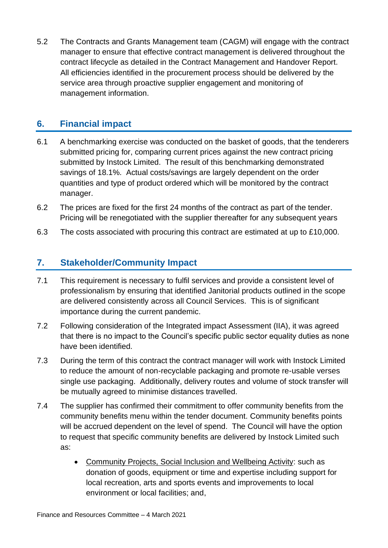5.2 The Contracts and Grants Management team (CAGM) will engage with the contract manager to ensure that effective contract management is delivered throughout the contract lifecycle as detailed in the Contract Management and Handover Report. All efficiencies identified in the procurement process should be delivered by the service area through proactive supplier engagement and monitoring of management information.

# **6. Financial impact**

- 6.1 A benchmarking exercise was conducted on the basket of goods, that the tenderers submitted pricing for, comparing current prices against the new contract pricing submitted by Instock Limited. The result of this benchmarking demonstrated savings of 18.1%. Actual costs/savings are largely dependent on the order quantities and type of product ordered which will be monitored by the contract manager.
- 6.2 The prices are fixed for the first 24 months of the contract as part of the tender. Pricing will be renegotiated with the supplier thereafter for any subsequent years
- 6.3 The costs associated with procuring this contract are estimated at up to £10,000.

## **7. Stakeholder/Community Impact**

- 7.1 This requirement is necessary to fulfil services and provide a consistent level of professionalism by ensuring that identified Janitorial products outlined in the scope are delivered consistently across all Council Services. This is of significant importance during the current pandemic.
- 7.2 Following consideration of the Integrated impact Assessment (IIA), it was agreed that there is no impact to the Council's specific public sector equality duties as none have been identified.
- 7.3 During the term of this contract the contract manager will work with Instock Limited to reduce the amount of non-recyclable packaging and promote re-usable verses single use packaging. Additionally, delivery routes and volume of stock transfer will be mutually agreed to minimise distances travelled.
- 7.4 The supplier has confirmed their commitment to offer community benefits from the community benefits menu within the tender document. Community benefits points will be accrued dependent on the level of spend. The Council will have the option to request that specific community benefits are delivered by Instock Limited such as:
	- Community Projects, Social Inclusion and Wellbeing Activity: such as donation of goods, equipment or time and expertise including support for local recreation, arts and sports events and improvements to local environment or local facilities; and,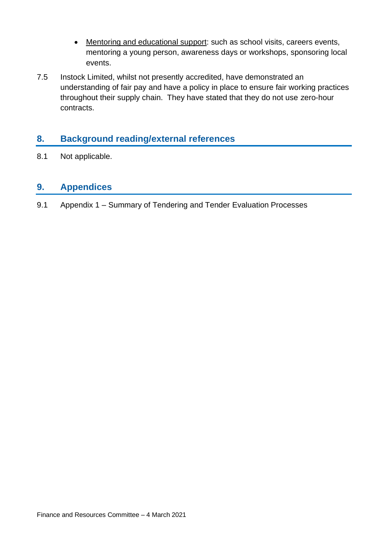- Mentoring and educational support: such as school visits, careers events, mentoring a young person, awareness days or workshops, sponsoring local events.
- 7.5 Instock Limited, whilst not presently accredited, have demonstrated an understanding of fair pay and have a policy in place to ensure fair working practices throughout their supply chain. They have stated that they do not use zero-hour contracts.

## **8. Background reading/external references**

8.1 Not applicable.

#### **9. Appendices**

9.1 Appendix 1 – Summary of Tendering and Tender Evaluation Processes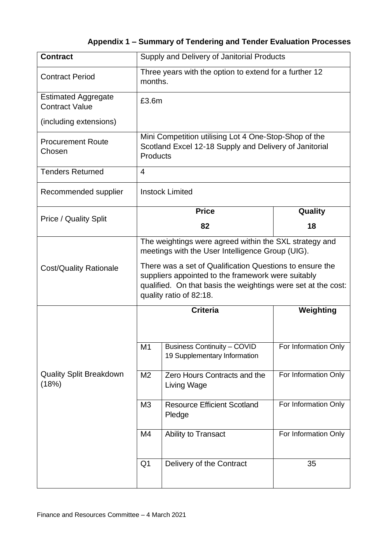# **Appendix 1 – Summary of Tendering and Tender Evaluation Processes**

| <b>Contract</b>                                     | Supply and Delivery of Janitorial Products                                                                                                                                                                 |                                                                    |                      |  |
|-----------------------------------------------------|------------------------------------------------------------------------------------------------------------------------------------------------------------------------------------------------------------|--------------------------------------------------------------------|----------------------|--|
| <b>Contract Period</b>                              | Three years with the option to extend for a further 12<br>months.                                                                                                                                          |                                                                    |                      |  |
| <b>Estimated Aggregate</b><br><b>Contract Value</b> | £3.6m                                                                                                                                                                                                      |                                                                    |                      |  |
| (including extensions)                              |                                                                                                                                                                                                            |                                                                    |                      |  |
| <b>Procurement Route</b><br>Chosen                  | Mini Competition utilising Lot 4 One-Stop-Shop of the<br>Scotland Excel 12-18 Supply and Delivery of Janitorial<br><b>Products</b>                                                                         |                                                                    |                      |  |
| <b>Tenders Returned</b>                             | $\overline{4}$                                                                                                                                                                                             |                                                                    |                      |  |
| Recommended supplier                                |                                                                                                                                                                                                            | <b>Instock Limited</b>                                             |                      |  |
| <b>Price / Quality Split</b>                        |                                                                                                                                                                                                            | <b>Price</b>                                                       | Quality              |  |
|                                                     |                                                                                                                                                                                                            | 82                                                                 | 18                   |  |
|                                                     | The weightings were agreed within the SXL strategy and<br>meetings with the User Intelligence Group (UIG).                                                                                                 |                                                                    |                      |  |
| <b>Cost/Quality Rationale</b>                       | There was a set of Qualification Questions to ensure the<br>suppliers appointed to the framework were suitably<br>qualified. On that basis the weightings were set at the cost:<br>quality ratio of 82:18. |                                                                    |                      |  |
|                                                     |                                                                                                                                                                                                            | <b>Criteria</b>                                                    | Weighting            |  |
| <b>Quality Split Breakdown</b><br>(18%)             | M <sub>1</sub>                                                                                                                                                                                             | <b>Business Continuity - COVID</b><br>19 Supplementary Information | For Information Only |  |
|                                                     | M <sub>2</sub>                                                                                                                                                                                             | Zero Hours Contracts and the<br>Living Wage                        | For Information Only |  |
|                                                     | M <sub>3</sub>                                                                                                                                                                                             | <b>Resource Efficient Scotland</b><br>Pledge                       | For Information Only |  |
|                                                     | M4                                                                                                                                                                                                         | Ability to Transact                                                | For Information Only |  |
|                                                     | Q <sub>1</sub>                                                                                                                                                                                             | Delivery of the Contract                                           | 35                   |  |